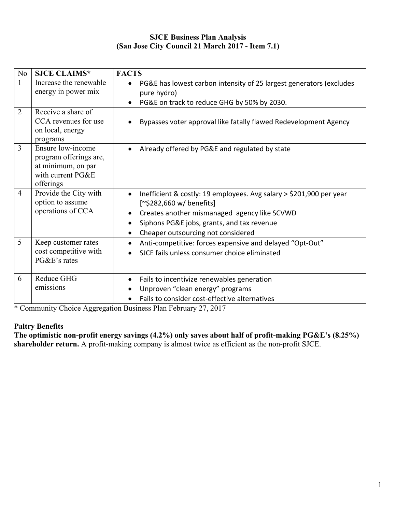## **SJCE Business Plan Analysis (San Jose City Council 21 March 2017 - Item 7.1)**

| No             | <b>SJCE CLAIMS*</b>                                                                                 | <b>FACTS</b>                                                                                                                                                                                                                                                               |
|----------------|-----------------------------------------------------------------------------------------------------|----------------------------------------------------------------------------------------------------------------------------------------------------------------------------------------------------------------------------------------------------------------------------|
| $\mathbf{1}$   | Increase the renewable<br>energy in power mix                                                       | PG&E has lowest carbon intensity of 25 largest generators (excludes<br>$\bullet$<br>pure hydro)<br>PG&E on track to reduce GHG by 50% by 2030.<br>$\bullet$                                                                                                                |
| $\overline{2}$ | Receive a share of<br>CCA revenues for use<br>on local, energy<br>programs                          | Bypasses voter approval like fatally flawed Redevelopment Agency                                                                                                                                                                                                           |
| $\overline{3}$ | Ensure low-income<br>program offerings are,<br>at minimum, on par<br>with current PG&E<br>offerings | Already offered by PG&E and regulated by state<br>$\bullet$                                                                                                                                                                                                                |
| $\overline{4}$ | Provide the City with<br>option to assume<br>operations of CCA                                      | Inefficient & costly: 19 employees. Avg salary > \$201,900 per year<br>$\bullet$<br>[~\$282,660 w/ benefits]<br>Creates another mismanaged agency like SCVWD<br>$\bullet$<br>Siphons PG&E jobs, grants, and tax revenue<br>$\bullet$<br>Cheaper outsourcing not considered |
| 5              | Keep customer rates<br>cost competitive with<br>PG&E's rates                                        | Anti-competitive: forces expensive and delayed "Opt-Out"<br>$\bullet$<br>SJCE fails unless consumer choice eliminated                                                                                                                                                      |
| 6              | Reduce GHG<br>emissions                                                                             | Fails to incentivize renewables generation<br>٠<br>Unproven "clean energy" programs<br>Fails to consider cost-effective alternatives                                                                                                                                       |

\* Community Choice Aggregation Business Plan February 27, 2017

# **Paltry Benefits**

**The optimistic non-profit energy savings (4.2%) only saves about half of profit-making PG&E's (8.25%) shareholder return.** A profit-making company is almost twice as efficient as the non-profit SJCE.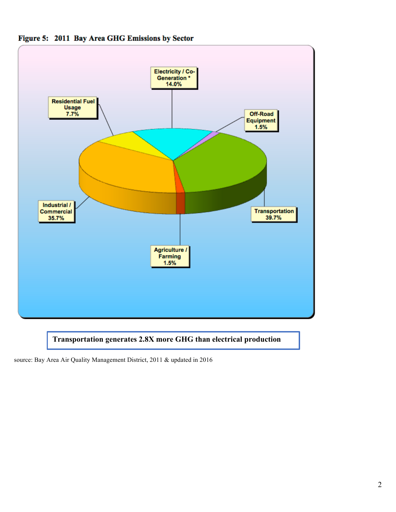



# **Transportation generates 2.8X more GHG than electrical production**

source: Bay Area Air Quality Management District, 2011 & updated in 2016